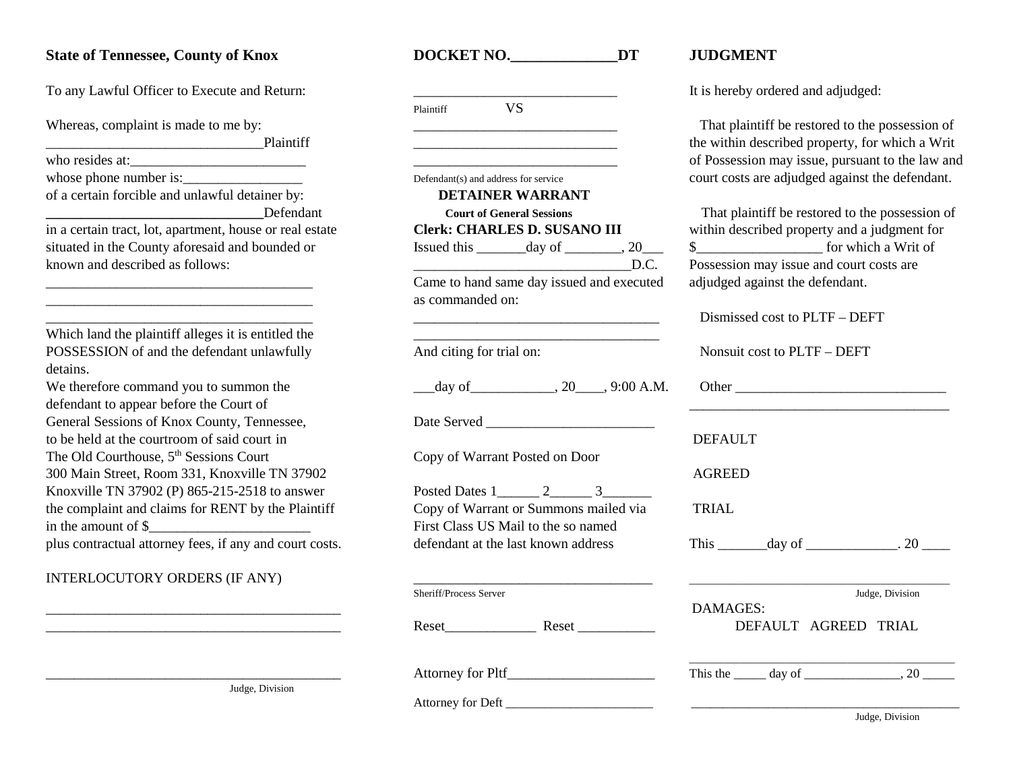## **State of Tennessee, County of Knox <b>DOCKET NO.** DT JUDGMENT

 $\overline{\phantom{a}}$   $\overline{\phantom{a}}$   $\overline{\phantom{a}}$   $\overline{\phantom{a}}$   $\overline{\phantom{a}}$   $\overline{\phantom{a}}$   $\overline{\phantom{a}}$   $\overline{\phantom{a}}$   $\overline{\phantom{a}}$   $\overline{\phantom{a}}$   $\overline{\phantom{a}}$   $\overline{\phantom{a}}$   $\overline{\phantom{a}}$   $\overline{\phantom{a}}$   $\overline{\phantom{a}}$   $\overline{\phantom{a}}$   $\overline{\phantom{a}}$   $\overline{\phantom{a}}$   $\overline{\$ who resides at:\_\_\_\_\_\_\_\_\_\_\_\_\_\_\_\_\_\_\_\_\_\_\_\_\_ \_\_\_\_\_\_\_\_\_\_\_\_\_\_\_\_\_\_\_\_\_\_\_\_\_\_\_\_\_ of Possession may issue, pursuant to the law and whose phone number is:\_\_\_\_\_\_\_\_\_\_\_\_\_\_\_\_\_ Defendant(s) and address for service court costs are adjudged against the defendant. of a certain forcible and unlawful detainer by: **Example 19 A.1 Second Court of General Sessions Court of General Sessions That plaintiff be restored to the possession of** in a certain tract, lot, apartment, house or real estate **Clerk: CHARLES D. SUSANO III** within described property and a judgment for situated in the County aforesaid and bounded or Issued this  $\frac{day \text{ of } x}{\text{ of } x}$ , 20 $\frac{$x}{\text{ of } x}$   $\frac{$x}{\text{ of } x}$  for which a Writ of

### INTERLOCUTORY ORDERS (IF ANY)

| To any Lawful Officer to Execute and Return:             |                                                                                                                      | It is hereby ordered and adjudged:               |  |
|----------------------------------------------------------|----------------------------------------------------------------------------------------------------------------------|--------------------------------------------------|--|
|                                                          | <b>VS</b><br>Plaintiff                                                                                               |                                                  |  |
| Whereas, complaint is made to me by:                     |                                                                                                                      | That plaintiff be restored to the possess        |  |
| Plaintiff                                                | <u> 1989 - Johann Barbara, martin amerikan basar dan berasal dalam basa dalam basar dalam basar dalam basa dalam</u> | the within described property, for which         |  |
| who resides at:                                          |                                                                                                                      | of Possession may issue, pursuant to the         |  |
|                                                          | Defendant(s) and address for service                                                                                 | court costs are adjudged against the defe        |  |
| of a certain forcible and unlawful detainer by:          | <b>DETAINER WARRANT</b>                                                                                              |                                                  |  |
| Defendant                                                | <b>Court of General Sessions</b>                                                                                     | That plaintiff be restored to the posses         |  |
| in a certain tract, lot, apartment, house or real estate | <b>Clerk: CHARLES D. SUSANO III</b>                                                                                  | within described property and a judgmen          |  |
| situated in the County aforesaid and bounded or          | Issued this $\_\_\_\_$ day of $\_\_\_\_$ , 20 $\_\_\_\_\$                                                            |                                                  |  |
| known and described as follows:                          | $\overline{\phantom{a}}$ D.C.                                                                                        | Possession may issue and court costs are         |  |
|                                                          | Came to hand same day issued and executed<br>as commanded on:                                                        | adjudged against the defendant.                  |  |
|                                                          |                                                                                                                      | Dismissed cost to PLTF - DEFT                    |  |
| Which land the plaintiff alleges it is entitled the      |                                                                                                                      |                                                  |  |
| POSSESSION of and the defendant unlawfully               | And citing for trial on:                                                                                             | Nonsuit cost to PLTF – DEFT                      |  |
| detains.                                                 |                                                                                                                      |                                                  |  |
| We therefore command you to summon the                   |                                                                                                                      | Other                                            |  |
| defendant to appear before the Court of                  |                                                                                                                      |                                                  |  |
| General Sessions of Knox County, Tennessee,              |                                                                                                                      |                                                  |  |
| to be held at the courtroom of said court in             |                                                                                                                      | <b>DEFAULT</b>                                   |  |
| The Old Courthouse, 5 <sup>th</sup> Sessions Court       | Copy of Warrant Posted on Door                                                                                       |                                                  |  |
| 300 Main Street, Room 331, Knoxville TN 37902            |                                                                                                                      | <b>AGREED</b>                                    |  |
| Knoxville TN 37902 (P) 865-215-2518 to answer            |                                                                                                                      |                                                  |  |
| the complaint and claims for RENT by the Plaintiff       | Copy of Warrant or Summons mailed via                                                                                | <b>TRIAL</b>                                     |  |
| in the amount of \$                                      | First Class US Mail to the so named                                                                                  |                                                  |  |
| plus contractual attorney fees, if any and court costs.  | defendant at the last known address                                                                                  | This $\_\_\_\_\_\_\$ day of $\_\_\_\_\_\_\$ . 20 |  |
| INTERLOCUTORY ORDERS (IF ANY)                            |                                                                                                                      |                                                  |  |
|                                                          | Sheriff/Process Server                                                                                               | Judge, Division                                  |  |
|                                                          |                                                                                                                      | <b>DAMAGES:</b>                                  |  |
|                                                          |                                                                                                                      | DEFAULT AGREED TRIAL                             |  |
|                                                          | Attorney for Pltf_                                                                                                   | This the $\_\_\_\_$ day of $\_\_\_\_\_\_\_$ , 20 |  |
| Judge Division                                           |                                                                                                                      |                                                  |  |

Possession may issue and court costs are adjudged against the defendant.

|                                                         | as commandeu on.                      | Dismissed cost to PLTF - DEFT                              |  |
|---------------------------------------------------------|---------------------------------------|------------------------------------------------------------|--|
| Which land the plaintiff alleges it is entitled the     |                                       |                                                            |  |
| POSSESSION of and the defendant unlawfully              | And citing for trial on:              | Nonsuit cost to PLTF - DEFT                                |  |
| detains.                                                |                                       |                                                            |  |
| We therefore command you to summon the                  |                                       |                                                            |  |
| defendant to appear before the Court of                 |                                       |                                                            |  |
| General Sessions of Knox County, Tennessee,             |                                       |                                                            |  |
| to be held at the courtroom of said court in            |                                       | <b>DEFAULT</b>                                             |  |
| The Old Courthouse, 5 <sup>th</sup> Sessions Court      | Copy of Warrant Posted on Door        |                                                            |  |
| 300 Main Street, Room 331, Knoxville TN 37902           |                                       | <b>AGREED</b>                                              |  |
| Knoxville TN 37902 (P) 865-215-2518 to answer           |                                       |                                                            |  |
| the complaint and claims for RENT by the Plaintiff      | Copy of Warrant or Summons mailed via | <b>TRIAL</b>                                               |  |
| in the amount of $\frac{1}{2}$                          | First Class US Mail to the so named   |                                                            |  |
| plus contractual attorney fees, if any and court costs. | defendant at the last known address   | This $\_\_\_\_\_\$ day of $\_\_\_\_\_\_\$ . 20 $\_\_\_\_\$ |  |
| INTERLOCUTORY ORDERS (IF ANY)                           |                                       |                                                            |  |
|                                                         | Sheriff/Process Server                | Judge, Division                                            |  |
|                                                         |                                       | DAMAGES:                                                   |  |
|                                                         | Reset<br>Reset                        | DEFAULT AGREED TRIAL                                       |  |
|                                                         |                                       |                                                            |  |
|                                                         |                                       | This the $\_\_\_\_$ day of $\_\_\_\_\_\_\_$ , 20           |  |
| Judge, Division                                         |                                       |                                                            |  |